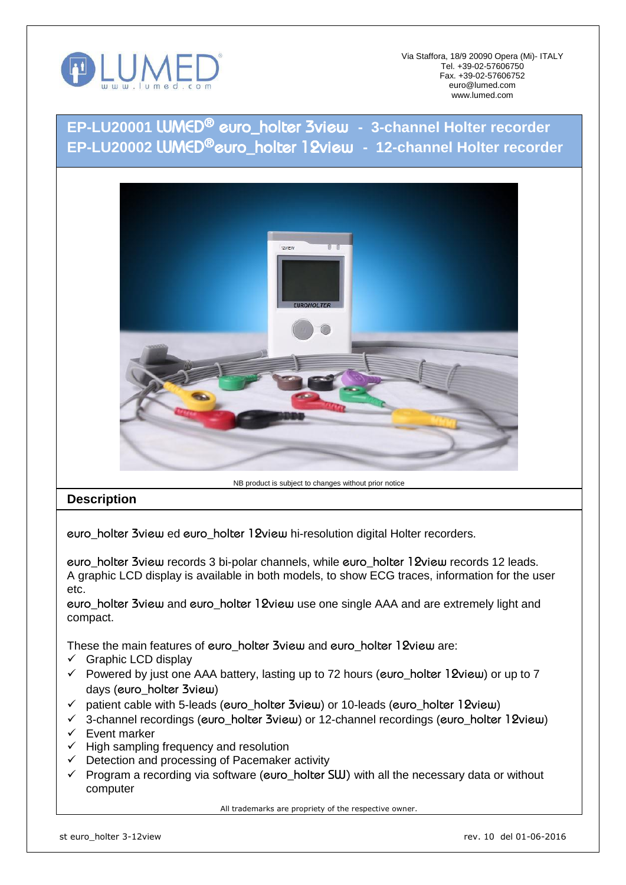

Via Staffora, 18/9 20090 Opera (Mi)- ITALY Tel. +39-02-57606750 Fax. +39-02-57606752 euro@lumed.com www.lumed.com

**EP-LU20001** *LUMED® euro\_holter 3view* **- 3-channel Holter recorder EP-LU20002** *LUMED®euro\_holter 12view* **- 12-channel Holter recorder**



## NB product is subject to changes without prior notice

## **Description**

*euro\_holter 3view* ed *euro\_holter 12view* hi-resolution digital Holter recorders.

*euro\_holter 3view* records 3 bi-polar channels, while *euro\_holter 12view* records 12 leads. A graphic LCD display is available in both models, to show ECG traces, information for the user etc.

*euro\_holter 3view* and *euro\_holter 12view* use one single AAA and are extremely light and compact.

These the main features of *euro\_holter 3view* and *euro\_holter 12view* are:

- $\checkmark$  Graphic LCD display
- Powered by just one AAA battery, lasting up to 72 hours (*euro\_holter 12view*) or up to 7 days (*euro\_holter 3view*)
- patient cable with 5-leads (*euro\_holter 3view*) or 10-leads (*euro\_holter 12view*)
- 3-channel recordings (*euro\_holter 3view*) or 12-channel recordings (*euro\_holter 12view*)
- $\checkmark$  Event marker
- $\checkmark$  High sampling frequency and resolution
- $\checkmark$  Detection and processing of Pacemaker activity
- Program a recording via software (*euro\_holter SW)* with all the necessary data or without computer

All trademarks are propriety of the respective owner.